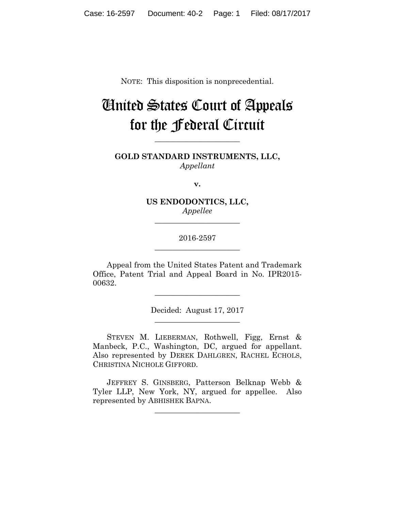NOTE: This disposition is nonprecedential.

# United States Court of Appeals for the Federal Circuit

**GOLD STANDARD INSTRUMENTS, LLC,** *Appellant*

**\_\_\_\_\_\_\_\_\_\_\_\_\_\_\_\_\_\_\_\_\_\_** 

**v.**

**US ENDODONTICS, LLC,** *Appellee*

**\_\_\_\_\_\_\_\_\_\_\_\_\_\_\_\_\_\_\_\_\_\_** 

# 2016-2597 **\_\_\_\_\_\_\_\_\_\_\_\_\_\_\_\_\_\_\_\_\_\_**

Appeal from the United States Patent and Trademark Office, Patent Trial and Appeal Board in No. IPR2015- 00632.

> Decided: August 17, 2017 **\_\_\_\_\_\_\_\_\_\_\_\_\_\_\_\_\_\_\_\_\_\_**

**\_\_\_\_\_\_\_\_\_\_\_\_\_\_\_\_\_\_\_\_\_\_** 

 STEVEN M. LIEBERMAN, Rothwell, Figg, Ernst & Manbeck, P.C., Washington, DC, argued for appellant. Also represented by DEREK DAHLGREN, RACHEL ECHOLS, CHRISTINA NICHOLE GIFFORD.

 JEFFREY S. GINSBERG, Patterson Belknap Webb & Tyler LLP, New York, NY, argued for appellee. Also represented by ABHISHEK BAPNA.

**\_\_\_\_\_\_\_\_\_\_\_\_\_\_\_\_\_\_\_\_\_\_**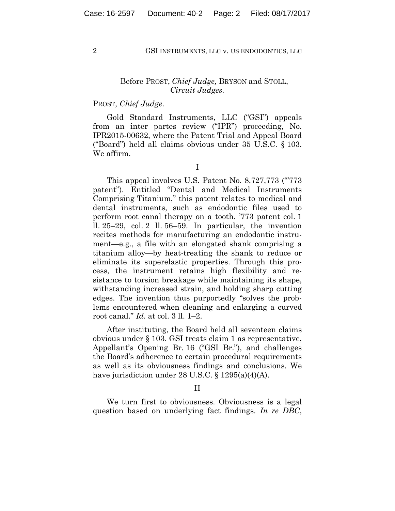#### 2 GSI INSTRUMENTS, LLC v. US ENDODONTICS, LLC

## Before PROST, *Chief Judge,* BRYSON and STOLL, *Circuit Judges.*

# PROST, *Chief Judge*.

Gold Standard Instruments, LLC ("GSI") appeals from an inter partes review ("IPR") proceeding, No. IPR2015-00632, where the Patent Trial and Appeal Board ("Board") held all claims obvious under 35 U.S.C. § 103. We affirm.

I

This appeal involves U.S. Patent No. 8,727,773 ("773") patent"). Entitled "Dental and Medical Instruments Comprising Titanium," this patent relates to medical and dental instruments, such as endodontic files used to perform root canal therapy on a tooth. '773 patent col. 1 ll. 25–29, col. 2 ll. 56–59. In particular, the invention recites methods for manufacturing an endodontic instrument—e.g., a file with an elongated shank comprising a titanium alloy—by heat-treating the shank to reduce or eliminate its superelastic properties. Through this process, the instrument retains high flexibility and resistance to torsion breakage while maintaining its shape, withstanding increased strain, and holding sharp cutting edges. The invention thus purportedly "solves the problems encountered when cleaning and enlarging a curved root canal." *Id*. at col. 3 ll. 1–2.

After instituting, the Board held all seventeen claims obvious under § 103. GSI treats claim 1 as representative, Appellant's Opening Br. 16 ("GSI Br."), and challenges the Board's adherence to certain procedural requirements as well as its obviousness findings and conclusions. We have jurisdiction under 28 U.S.C. § 1295(a)(4)(A).

#### II

We turn first to obviousness. Obviousness is a legal question based on underlying fact findings. *In re DBC*,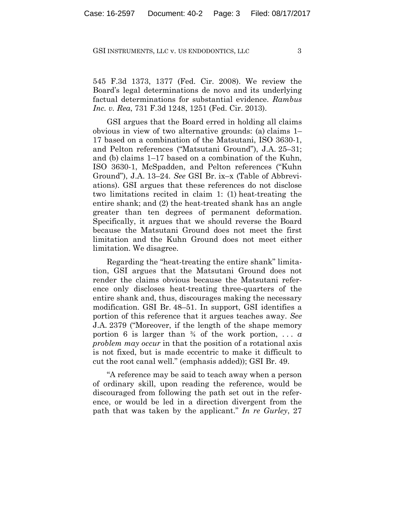#### GSI INSTRUMENTS, LLC v. US ENDODONTICS, LLC 3

545 F.3d 1373, 1377 (Fed. Cir. 2008). We review the Board's legal determinations de novo and its underlying factual determinations for substantial evidence. *Rambus Inc. v. Rea*, 731 F.3d 1248, 1251 (Fed. Cir. 2013).

GSI argues that the Board erred in holding all claims obvious in view of two alternative grounds: (a) claims 1– 17 based on a combination of the Matsutani, ISO 3630-1, and Pelton references ("Matsutani Ground"), J.A. 25–31; and (b) claims 1–17 based on a combination of the Kuhn, ISO 3630-1, McSpadden, and Pelton references ("Kuhn Ground"), J.A. 13–24. *See* GSI Br. ix–x (Table of Abbreviations). GSI argues that these references do not disclose two limitations recited in claim 1: (1) heat-treating the entire shank; and (2) the heat-treated shank has an angle greater than ten degrees of permanent deformation. Specifically, it argues that we should reverse the Board because the Matsutani Ground does not meet the first limitation and the Kuhn Ground does not meet either limitation. We disagree.

Regarding the "heat-treating the entire shank" limitation, GSI argues that the Matsutani Ground does not render the claims obvious because the Matsutani reference only discloses heat-treating three-quarters of the entire shank and, thus, discourages making the necessary modification. GSI Br. 48–51. In support, GSI identifies a portion of this reference that it argues teaches away. *See* J.A. 2379 ("Moreover, if the length of the shape memory portion 6 is larger than  $\frac{3}{4}$  of the work portion, ... *a problem may occur* in that the position of a rotational axis is not fixed, but is made eccentric to make it difficult to cut the root canal well." (emphasis added)); GSI Br. 49.

"A reference may be said to teach away when a person of ordinary skill, upon reading the reference, would be discouraged from following the path set out in the reference, or would be led in a direction divergent from the path that was taken by the applicant." *In re Gurley*, 27